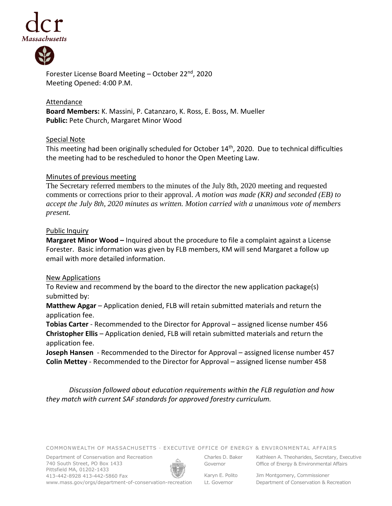



Forester License Board Meeting - October 22<sup>nd</sup>, 2020 Meeting Opened: 4:00 P.M.

Attendance **Board Members:** K. Massini, P. Catanzaro, K. Ross, E. Boss, M. Mueller **Public:** Pete Church, Margaret Minor Wood

### Special Note

This meeting had been originally scheduled for October 14th, 2020. Due to technical difficulties the meeting had to be rescheduled to honor the Open Meeting Law.

### Minutes of previous meeting

The Secretary referred members to the minutes of the July 8th, 2020 meeting and requested comments or corrections prior to their approval. *A motion was made (KR) and seconded (EB) to accept the July 8th, 2020 minutes as written. Motion carried with a unanimous vote of members present.*

#### Public Inquiry

**Margaret Minor Wood –** Inquired about the procedure to file a complaint against a License Forester. Basic information was given by FLB members, KM will send Margaret a follow up email with more detailed information.

### New Applications

To Review and recommend by the board to the director the new application package(s) submitted by:

**Matthew Apgar** – Application denied, FLB will retain submitted materials and return the application fee.

**Tobias Carter** - Recommended to the Director for Approval – assigned license number 456 **Christopher Ellis** – Application denied, FLB will retain submitted materials and return the application fee.

**Joseph Hansen** - Recommended to the Director for Approval – assigned license number 457 **Colin Mettey** - Recommended to the Director for Approval – assigned license number 458

*Discussion followed about education requirements within the FLB regulation and how they match with current SAF standards for approved forestry curriculum.*

COMMONWEALTH OF MASSACHUSETTS · EXECUTIVE OFFICE OF ENERGY & ENVIRONMENTAL AFFAIRS

Department of Conservation and Recreation 740 South Street, PO Box 1433 Pittsfield MA, 01202-1433 413-442-8928 413-442-5860 Fax www.mass.gov/orgs/department-of-conservation-recreation



Charles D. Baker Governor

Kathleen A. Theoharides, Secretary, Executive Office of Energy & Environmental Affairs

Karyn E. Polito Lt. Governor

Jim Montgomery, Commissioner Department of Conservation & Recreation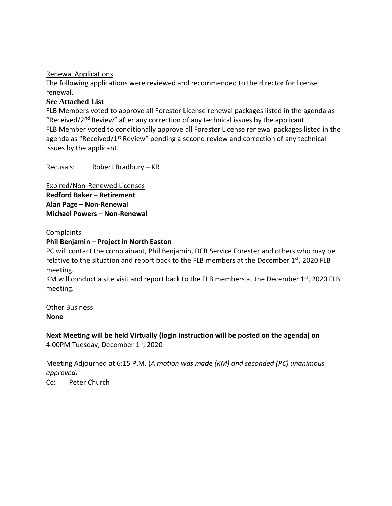### Renewal Applications

The following applications were reviewed and recommended to the director for license renewal.

## **See Attached List**

FLB Members voted to approve all Forester License renewal packages listed in the agenda as "Received/ $2<sup>nd</sup>$  Review" after any correction of any technical issues by the applicant. FLB Member voted to conditionally approve all Forester License renewal packages listed in the agenda as "Received/1<sup>st</sup> Review" pending a second review and correction of any technical issues by the applicant.

Recusals: Robert Bradbury – KR

Expired/Non-Renewed Licenses **Redford Baker – Retirement Alan Page – Non-Renewal Michael Powers – Non-Renewal**

### Complaints

# **Phil Benjamin – Project in North Easton**

PC will contact the complainant, Phil Benjamin, DCR Service Forester and others who may be relative to the situation and report back to the FLB members at the December  $1<sup>st</sup>$ , 2020 FLB meeting.

KM will conduct a site visit and report back to the FLB members at the December  $1<sup>st</sup>$ , 2020 FLB meeting.

Other Business **None**

# **Next Meeting will be held Virtually (login instruction will be posted on the agenda) on** 4:00PM Tuesday, December 1st, 2020

Meeting Adjourned at 6:15 P.M. (*A motion was made (KM) and seconded (PC) unanimous approved)*

Cc: Peter Church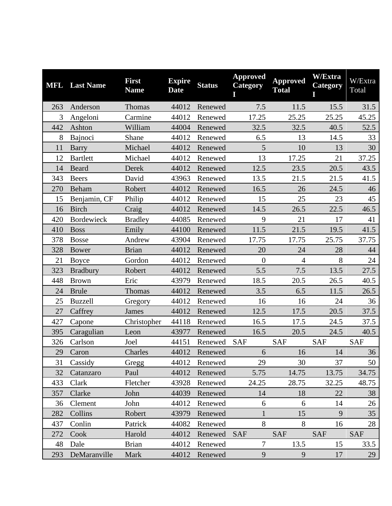|     | <b>MFL</b> Last Name | <b>First</b><br><b>Name</b> | <b>Expire</b><br><b>Date</b> | <b>Status</b> | <b>Approved</b><br>Category<br>Ι | <b>Approved</b><br><b>Total</b> | <b>W/Extra</b><br>Category | W/Extra<br>Total |
|-----|----------------------|-----------------------------|------------------------------|---------------|----------------------------------|---------------------------------|----------------------------|------------------|
| 263 | Anderson             | Thomas                      | 44012                        | Renewed       | 7.5                              | 11.5                            | 15.5                       | 31.5             |
| 3   | Angeloni             | Carmine                     | 44012                        | Renewed       | 17.25                            | 25.25                           | 25.25                      | 45.25            |
| 442 | Ashton               | William                     | 44004                        | Renewed       | 32.5                             | 32.5                            | 40.5                       | 52.5             |
| 8   | Bajnoci              | Shane                       | 44012                        | Renewed       | 6.5                              | 13                              | 14.5                       | 33               |
| 11  | <b>Barry</b>         | Michael                     | 44012                        | Renewed       | 5                                | 10                              | 13                         | 30               |
| 12  | <b>Bartlett</b>      | Michael                     | 44012                        | Renewed       | 13                               | 17.25                           | 21                         | 37.25            |
| 14  | Beard                | Derek                       | 44012                        | Renewed       | 12.5                             | 23.5                            | 20.5                       | 43.5             |
| 343 | <b>Beers</b>         | David                       | 43963                        | Renewed       | 13.5                             | 21.5                            | 21.5                       | 41.5             |
| 270 | Beham                | Robert                      | 44012                        | Renewed       | 16.5                             | 26                              | 24.5                       | 46               |
| 15  | Benjamin, CF         | Philip                      | 44012                        | Renewed       | 15                               | 25                              | 23                         | 45               |
| 16  | <b>Birch</b>         | Craig                       | 44012                        | Renewed       | 14.5                             | 26.5                            | 22.5                       | 46.5             |
| 420 | <b>Bordewieck</b>    | <b>Bradley</b>              | 44085                        | Renewed       | 9                                | 21                              | 17                         | 41               |
| 410 | <b>Boss</b>          | Emily                       | 44100                        | Renewed       | 11.5                             | 21.5                            | 19.5                       | 41.5             |
| 378 | <b>Bosse</b>         | Andrew                      | 43904                        | Renewed       | 17.75                            | 17.75                           | 25.75                      | 37.75            |
| 328 | Bower                | <b>Brian</b>                | 44012                        | Renewed       | 20                               | 24                              | 28                         | 44               |
| 21  | <b>Boyce</b>         | Gordon                      | 44012                        | Renewed       | $\overline{0}$                   | $\overline{4}$                  | 8                          | 24               |
| 323 | <b>Bradbury</b>      | Robert                      | 44012                        | Renewed       | 5.5                              | 7.5                             | 13.5                       | 27.5             |
| 448 | <b>Brown</b>         | Eric                        | 43979                        | Renewed       | 18.5                             | 20.5                            | 26.5                       | 40.5             |
| 24  | <b>Brule</b>         | Thomas                      | 44012                        | Renewed       | 3.5                              | 6.5                             | 11.5                       | 26.5             |
| 25  | <b>Buzzell</b>       | Gregory                     | 44012                        | Renewed       | 16                               | 16                              | 24                         | 36               |
| 27  | Caffrey              | James                       | 44012                        | Renewed       | 12.5                             | 17.5                            | 20.5                       | 37.5             |
| 427 | Capone               | Christopher                 | 44118                        | Renewed       | 16.5                             | 17.5                            | 24.5                       | 37.5             |
| 395 | Caragulian           | Leon                        | 43977                        | Renewed       | 16.5                             | 20.5                            | 24.5                       | 40.5             |
| 326 | Carlson              | Joel                        | 44151                        | Renewed       | <b>SAF</b>                       | <b>SAF</b>                      | <b>SAF</b>                 | <b>SAF</b>       |
| 29  | Caron                | Charles                     | 44012                        | Renewed       | 6                                | 16                              | 14                         | 36               |
| 31  | Cassidy              | Gregg                       | 44012                        | Renewed       | 29                               | 30                              | 37                         | 50               |
| 32  | Catanzaro            | Paul                        | 44012                        | Renewed       | 5.75                             | 14.75                           | 13.75                      | 34.75            |
| 433 | Clark                | Fletcher                    | 43928                        | Renewed       | 24.25                            | 28.75                           | 32.25                      | 48.75            |
| 357 | Clarke               | John                        | 44039                        | Renewed       | 14                               | 18                              | 22                         | 38               |
| 36  | Clement              | John                        | 44012                        | Renewed       | 6                                | 6                               | 14                         | 26               |
| 282 | Collins              | Robert                      | 43979                        | Renewed       | $\mathbf{1}$                     | 15                              | 9                          | 35               |
| 437 | Conlin               | Patrick                     | 44082                        | Renewed       | 8                                | 8                               | 16                         | 28               |
| 272 | Cook                 | Harold                      | 44012                        | Renewed       | <b>SAF</b>                       | <b>SAF</b>                      | <b>SAF</b>                 | <b>SAF</b>       |
| 48  | Dale                 | <b>Brian</b>                | 44012                        | Renewed       | $\overline{7}$                   | 13.5                            | 15                         | 33.5             |
| 293 | DeMaranville         | Mark                        | 44012                        | Renewed       | 9                                | 9                               | 17                         | 29               |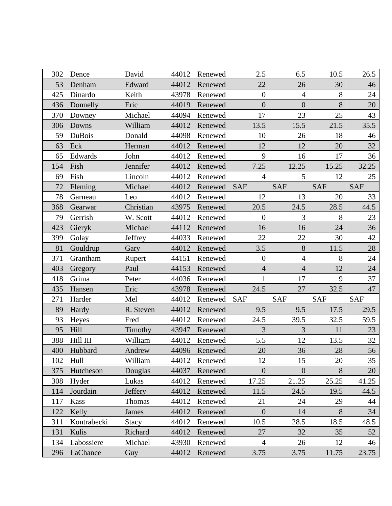| 302 | Dence       | David        | 44012 | Renewed | 2.5            | 6.5             | 10.5       | 26.5       |
|-----|-------------|--------------|-------|---------|----------------|-----------------|------------|------------|
| 53  | Denham      | Edward       | 44012 | Renewed | 22             | 26              | 30         | 46         |
| 425 | Dinardo     | Keith        | 43978 | Renewed | $\mathbf{0}$   | $\overline{4}$  | 8          | 24         |
| 436 | Donnelly    | Eric         | 44019 | Renewed | $\overline{0}$ | $\overline{0}$  | 8          | 20         |
| 370 | Downey      | Michael      | 44094 | Renewed | 17             | 23              | 25         | 43         |
| 306 | Downs       | William      | 44012 | Renewed | 13.5           | 15.5            | 21.5       | 35.5       |
| 59  | DuBois      | Donald       | 44098 | Renewed | 10             | 26              | 18         | 46         |
| 63  | Eck         | Herman       | 44012 | Renewed | 12             | 12              | 20         | 32         |
| 65  | Edwards     | John         | 44012 | Renewed | 9              | 16              | 17         | 36         |
| 154 | Fish        | Jennifer     | 44012 | Renewed | 7.25           | 12.25           | 15.25      | 32.25      |
| 69  | Fish        | Lincoln      | 44012 | Renewed | $\overline{4}$ | $5\overline{)}$ | 12         | 25         |
| 72  | Fleming     | Michael      | 44012 | Renewed | <b>SAF</b>     | <b>SAF</b>      | <b>SAF</b> | <b>SAF</b> |
| 78  | Garneau     | Leo          | 44012 | Renewed | 12             | 13              | 20         | 33         |
| 368 | Gearwar     | Christian    | 43975 | Renewed | 20.5           | 24.5            | 28.5       | 44.5       |
| 79  | Gerrish     | W. Scott     | 44012 | Renewed | $\overline{0}$ | $\overline{3}$  | 8          | 23         |
| 423 | Gieryk      | Michael      | 44112 | Renewed | 16             | 16              | 24         | 36         |
| 399 | Golay       | Jeffrey      | 44033 | Renewed | 22             | 22              | 30         | 42         |
| 81  | Gouldrup    | Gary         | 44012 | Renewed | 3.5            | 8               | 11.5       | 28         |
| 371 | Grantham    | Rupert       | 44151 | Renewed | $\mathbf{0}$   | $\overline{4}$  | 8          | 24         |
| 403 | Gregory     | Paul         | 44153 | Renewed | $\overline{4}$ | $\overline{4}$  | 12         | 24         |
| 418 | Grima       | Peter        | 44036 | Renewed | 1              | 17              | 9          | 37         |
| 435 | Hansen      | Eric         | 43978 | Renewed | 24.5           | 27              | 32.5       | 47         |
| 271 | Harder      | Mel          | 44012 | Renewed | <b>SAF</b>     | <b>SAF</b>      | <b>SAF</b> | <b>SAF</b> |
| 89  | Hardy       | R. Steven    | 44012 | Renewed | 9.5            | 9.5             | 17.5       | 29.5       |
| 93  | Heyes       | Fred         | 44012 | Renewed | 24.5           | 39.5            | 32.5       | 59.5       |
| 95  | Hill        | Timothy      | 43947 | Renewed | 3              | $\mathfrak{Z}$  | 11         | 23         |
| 388 | Hill III    | William      | 44012 | Renewed | 5.5            | 12              | 13.5       | 32         |
| 400 | Hubbard     | Andrew       | 44096 | Renewed | 20             | 36              | 28         | 56         |
| 102 | Hull        | William      | 44012 | Renewed | 12             | 15              | 20         | 35         |
| 375 | Hutcheson   | Douglas      | 44037 | Renewed | $\overline{0}$ | $\overline{0}$  | 8          | 20         |
| 308 | Hyder       | Lukas        | 44012 | Renewed | 17.25          | 21.25           | 25.25      | 41.25      |
| 114 | Jourdain    | Jeffery      | 44012 | Renewed | 11.5           | 24.5            | 19.5       | 44.5       |
| 117 | <b>Kass</b> | Thomas       | 44012 | Renewed | 21             | 24              | 29         | 44         |
| 122 | Kelly       | James        | 44012 | Renewed | $\overline{0}$ | 14              | 8          | 34         |
| 311 | Kontrabecki | <b>Stacy</b> | 44012 | Renewed | 10.5           | 28.5            | 18.5       | 48.5       |
| 131 | Kulis       | Richard      | 44012 | Renewed | 27             | 32              | 35         | 52         |
| 134 | Labossiere  | Michael      | 43930 | Renewed | $\overline{4}$ | 26              | 12         | 46         |
| 296 | LaChance    | Guy          | 44012 | Renewed | 3.75           | 3.75            | 11.75      | 23.75      |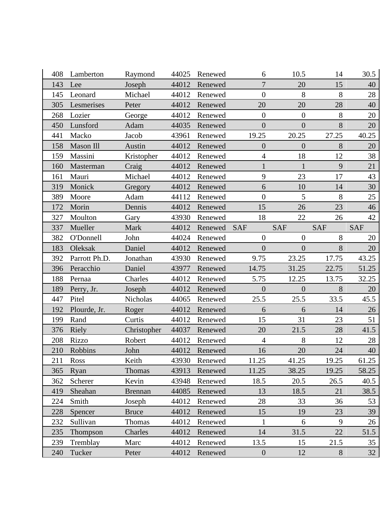| 408 | Lamberton     | Raymond        | 44025 | Renewed | 6                | 10.5             | 14         | 30.5       |
|-----|---------------|----------------|-------|---------|------------------|------------------|------------|------------|
| 143 | Lee           | Joseph         | 44012 | Renewed | $\overline{7}$   | 20               | 15         | 40         |
| 145 | Leonard       | Michael        | 44012 | Renewed | $\overline{0}$   | 8                | 8          | 28         |
| 305 | Lesmerises    | Peter          | 44012 | Renewed | 20               | 20               | 28         | 40         |
| 268 | Lozier        | George         | 44012 | Renewed | $\boldsymbol{0}$ | $\boldsymbol{0}$ | 8          | 20         |
| 450 | Lunsford      | Adam           | 44035 | Renewed | $\overline{0}$   | $\overline{0}$   | 8          | 20         |
| 441 | Macko         | Jacob          | 43961 | Renewed | 19.25            | 20.25            | 27.25      | 40.25      |
| 158 | Mason Ill     | Austin         | 44012 | Renewed | $\overline{0}$   | $\overline{0}$   | 8          | 20         |
| 159 | Massini       | Kristopher     | 44012 | Renewed | $\overline{4}$   | 18               | 12         | 38         |
| 160 | Masterman     | Craig          | 44012 | Renewed | $\mathbf{1}$     | $\mathbf{1}$     | 9          | 21         |
| 161 | Mauri         | Michael        | 44012 | Renewed | 9                | 23               | 17         | 43         |
| 319 | Monick        | Gregory        | 44012 | Renewed | 6                | 10               | 14         | 30         |
| 389 | Moore         | Adam           | 44112 | Renewed | $\boldsymbol{0}$ | 5                | 8          | 25         |
| 172 | Morin         | Dennis         | 44012 | Renewed | 15               | 26               | 23         | 46         |
| 327 | Moulton       | Gary           | 43930 | Renewed | 18               | 22               | 26         | 42         |
| 337 | Mueller       | Mark           | 44012 | Renewed | <b>SAF</b>       | <b>SAF</b>       | <b>SAF</b> | <b>SAF</b> |
| 382 | O'Donnell     | John           | 44024 | Renewed | $\overline{0}$   | $\overline{0}$   | 8          | 20         |
| 183 | Oleksak       | Daniel         | 44012 | Renewed | $\overline{0}$   | $\overline{0}$   | 8          | 20         |
| 392 | Parrott Ph.D. | Jonathan       | 43930 | Renewed | 9.75             | 23.25            | 17.75      | 43.25      |
| 396 | Peracchio     | Daniel         | 43977 | Renewed | 14.75            | 31.25            | 22.75      | 51.25      |
| 188 | Pernaa        | Charles        | 44012 | Renewed | 5.75             | 12.25            | 13.75      | 32.25      |
| 189 | Perry, Jr.    | Joseph         | 44012 | Renewed | $\mathbf{0}$     | $\boldsymbol{0}$ | 8          | 20         |
| 447 | Pitel         | Nicholas       | 44065 | Renewed | 25.5             | 25.5             | 33.5       | 45.5       |
| 192 | Plourde, Jr.  | Roger          | 44012 | Renewed | 6                | 6                | 14         | 26         |
| 199 | Rand          | Curtis         | 44012 | Renewed | 15               | 31               | 23         | 51         |
| 376 | Riely         | Christopher    | 44037 | Renewed | 20               | 21.5             | 28         | 41.5       |
| 208 | Rizzo         | Robert         | 44012 | Renewed | $\overline{4}$   | 8                | 12         | 28         |
| 210 | Robbins       | John           | 44012 | Renewed | 16               | 20               | 24         | 40         |
| 211 | Ross          | Keith          | 43930 | Renewed | 11.25            | 41.25            | 19.25      | 61.25      |
| 365 | Ryan          | <b>Thomas</b>  | 43913 | Renewed | 11.25            | 38.25            | 19.25      | 58.25      |
| 362 | Scherer       | Kevin          | 43948 | Renewed | 18.5             | 20.5             | 26.5       | 40.5       |
| 419 | Sheahan       | <b>Brennan</b> | 44085 | Renewed | 13               | 18.5             | 21         | 38.5       |
| 224 | Smith         | Joseph         | 44012 | Renewed | 28               | 33               | 36         | 53         |
| 228 | Spencer       | <b>Bruce</b>   | 44012 | Renewed | 15               | 19               | 23         | 39         |
| 232 | Sullivan      | Thomas         | 44012 | Renewed | $\mathbf{1}$     | 6                | 9          | 26         |
| 235 | Thompson      | Charles        | 44012 | Renewed | 14               | 31.5             | 22         | 51.5       |
| 239 | Tremblay      | Marc           | 44012 | Renewed | 13.5             | 15               | 21.5       | 35         |
| 240 | Tucker        | Peter          | 44012 | Renewed | $\boldsymbol{0}$ | 12               | $8\,$      | 32         |